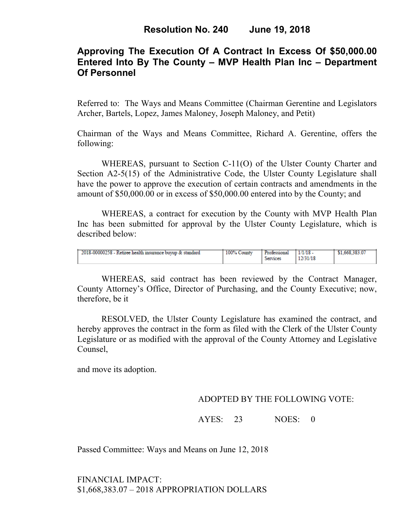# **Approving The Execution Of A Contract In Excess Of \$50,000.00 Entered Into By The County – MVP Health Plan Inc – Department Of Personnel**

Referred to: The Ways and Means Committee (Chairman Gerentine and Legislators Archer, Bartels, Lopez, James Maloney, Joseph Maloney, and Petit)

Chairman of the Ways and Means Committee, Richard A. Gerentine, offers the following:

WHEREAS, pursuant to Section C-11(O) of the Ulster County Charter and Section A2-5(15) of the Administrative Code, the Ulster County Legislature shall have the power to approve the execution of certain contracts and amendments in the amount of \$50,000.00 or in excess of \$50,000.00 entered into by the County; and

 WHEREAS, a contract for execution by the County with MVP Health Plan Inc has been submitted for approval by the Ulster County Legislature, which is described below:

| 2018-00000258 - Retiree health insurance buyup & standard | 100% County | Professional | 1/1/18   | \$1,668,383.07 |
|-----------------------------------------------------------|-------------|--------------|----------|----------------|
|                                                           |             | Services     | 12/31/18 |                |

WHEREAS, said contract has been reviewed by the Contract Manager, County Attorney's Office, Director of Purchasing, and the County Executive; now, therefore, be it

RESOLVED, the Ulster County Legislature has examined the contract, and hereby approves the contract in the form as filed with the Clerk of the Ulster County Legislature or as modified with the approval of the County Attorney and Legislative Counsel,

and move its adoption.

## ADOPTED BY THE FOLLOWING VOTE:

AYES: 23 NOES: 0

Passed Committee: Ways and Means on June 12, 2018

FINANCIAL IMPACT: \$1,668,383.07 – 2018 APPROPRIATION DOLLARS